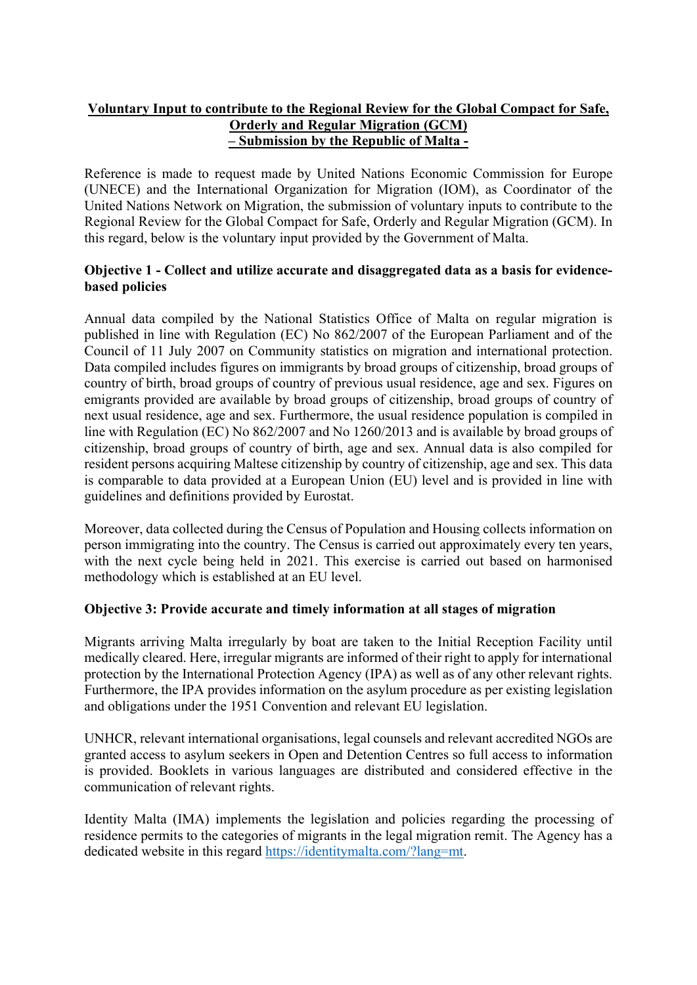# Voluntary Input to contribute to the Regional Review for the Global Compact for Safe, Orderly and Regular Migration (GCM) – Submission by the Republic of Malta -

Reference is made to request made by United Nations Economic Commission for Europe (UNECE) and the International Organization for Migration (IOM), as Coordinator of the United Nations Network on Migration, the submission of voluntary inputs to contribute to the Regional Review for the Global Compact for Safe, Orderly and Regular Migration (GCM). In this regard, below is the voluntary input provided by the Government of Malta.

## Objective 1 - Collect and utilize accurate and disaggregated data as a basis for evidencebased policies

Annual data compiled by the National Statistics Office of Malta on regular migration is published in line with Regulation (EC) No 862/2007 of the European Parliament and of the Council of 11 July 2007 on Community statistics on migration and international protection. Data compiled includes figures on immigrants by broad groups of citizenship, broad groups of country of birth, broad groups of country of previous usual residence, age and sex. Figures on emigrants provided are available by broad groups of citizenship, broad groups of country of next usual residence, age and sex. Furthermore, the usual residence population is compiled in line with Regulation (EC) No 862/2007 and No 1260/2013 and is available by broad groups of citizenship, broad groups of country of birth, age and sex. Annual data is also compiled for resident persons acquiring Maltese citizenship by country of citizenship, age and sex. This data is comparable to data provided at a European Union (EU) level and is provided in line with guidelines and definitions provided by Eurostat.

Moreover, data collected during the Census of Population and Housing collects information on person immigrating into the country. The Census is carried out approximately every ten years, with the next cycle being held in 2021. This exercise is carried out based on harmonised methodology which is established at an EU level.

## Objective 3: Provide accurate and timely information at all stages of migration

Migrants arriving Malta irregularly by boat are taken to the Initial Reception Facility until medically cleared. Here, irregular migrants are informed of their right to apply for international protection by the International Protection Agency (IPA) as well as of any other relevant rights. Furthermore, the IPA provides information on the asylum procedure as per existing legislation and obligations under the 1951 Convention and relevant EU legislation.

UNHCR, relevant international organisations, legal counsels and relevant accredited NGOs are granted access to asylum seekers in Open and Detention Centres so full access to information is provided. Booklets in various languages are distributed and considered effective in the communication of relevant rights.

Identity Malta (IMA) implements the legislation and policies regarding the processing of residence permits to the categories of migrants in the legal migration remit. The Agency has a dedicated website in this regard https://identitymalta.com/?lang=mt.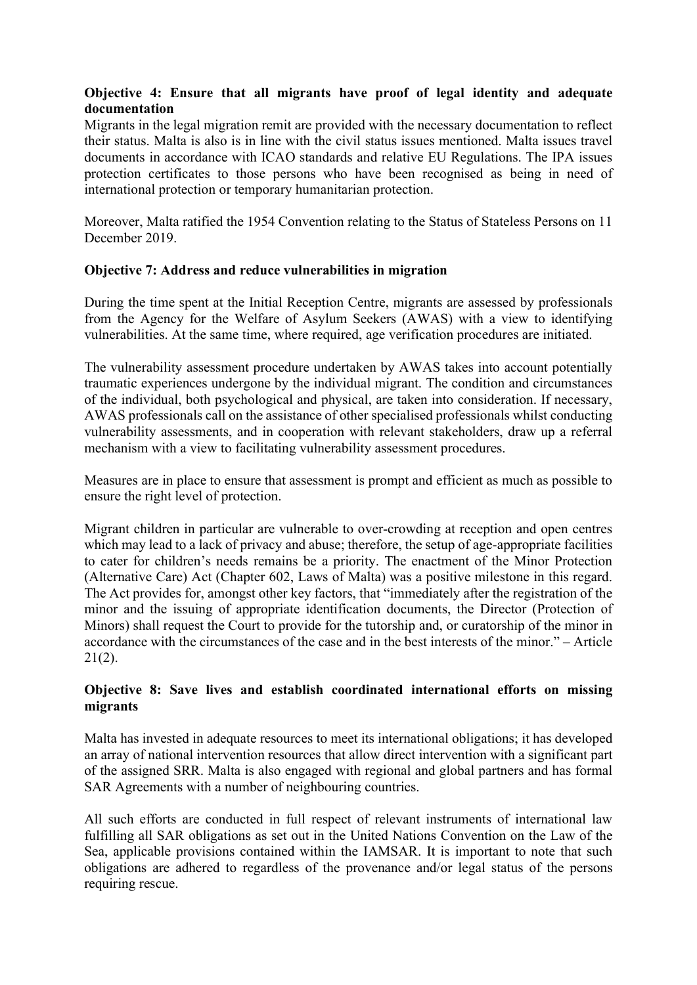## Objective 4: Ensure that all migrants have proof of legal identity and adequate documentation

Migrants in the legal migration remit are provided with the necessary documentation to reflect their status. Malta is also is in line with the civil status issues mentioned. Malta issues travel documents in accordance with ICAO standards and relative EU Regulations. The IPA issues protection certificates to those persons who have been recognised as being in need of international protection or temporary humanitarian protection.

Moreover, Malta ratified the 1954 Convention relating to the Status of Stateless Persons on 11 December 2019.

### Objective 7: Address and reduce vulnerabilities in migration

During the time spent at the Initial Reception Centre, migrants are assessed by professionals from the Agency for the Welfare of Asylum Seekers (AWAS) with a view to identifying vulnerabilities. At the same time, where required, age verification procedures are initiated.

The vulnerability assessment procedure undertaken by AWAS takes into account potentially traumatic experiences undergone by the individual migrant. The condition and circumstances of the individual, both psychological and physical, are taken into consideration. If necessary, AWAS professionals call on the assistance of other specialised professionals whilst conducting vulnerability assessments, and in cooperation with relevant stakeholders, draw up a referral mechanism with a view to facilitating vulnerability assessment procedures.

Measures are in place to ensure that assessment is prompt and efficient as much as possible to ensure the right level of protection.

Migrant children in particular are vulnerable to over-crowding at reception and open centres which may lead to a lack of privacy and abuse; therefore, the setup of age-appropriate facilities to cater for children's needs remains be a priority. The enactment of the Minor Protection (Alternative Care) Act (Chapter 602, Laws of Malta) was a positive milestone in this regard. The Act provides for, amongst other key factors, that "immediately after the registration of the minor and the issuing of appropriate identification documents, the Director (Protection of Minors) shall request the Court to provide for the tutorship and, or curatorship of the minor in accordance with the circumstances of the case and in the best interests of the minor." – Article  $21(2)$ .

## Objective 8: Save lives and establish coordinated international efforts on missing migrants

Malta has invested in adequate resources to meet its international obligations; it has developed an array of national intervention resources that allow direct intervention with a significant part of the assigned SRR. Malta is also engaged with regional and global partners and has formal SAR Agreements with a number of neighbouring countries.

All such efforts are conducted in full respect of relevant instruments of international law fulfilling all SAR obligations as set out in the United Nations Convention on the Law of the Sea, applicable provisions contained within the IAMSAR. It is important to note that such obligations are adhered to regardless of the provenance and/or legal status of the persons requiring rescue.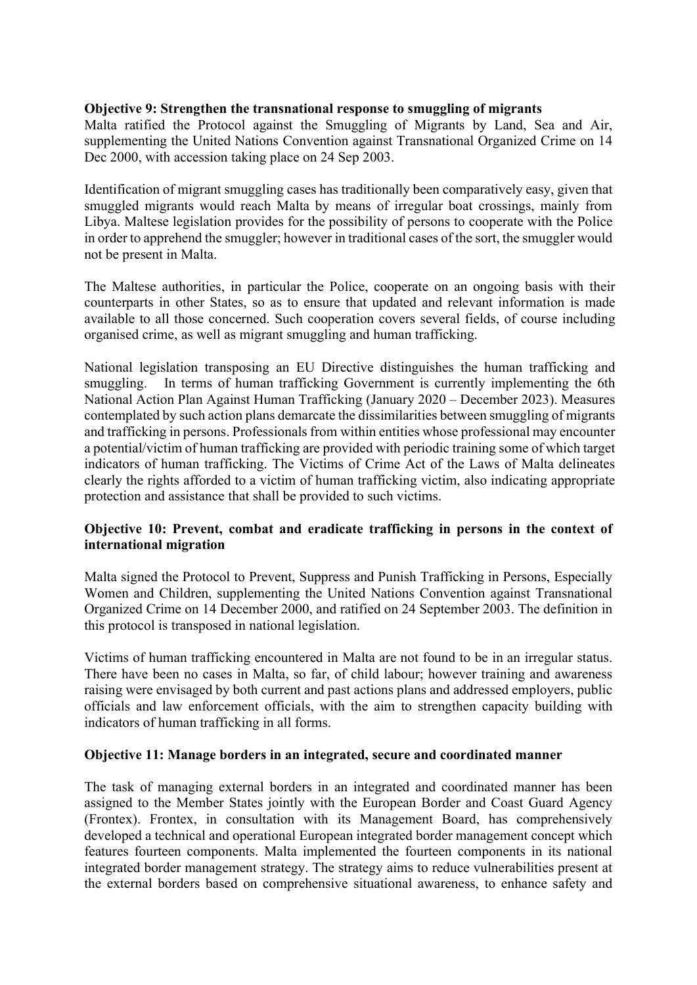### Objective 9: Strengthen the transnational response to smuggling of migrants

Malta ratified the Protocol against the Smuggling of Migrants by Land, Sea and Air, supplementing the United Nations Convention against Transnational Organized Crime on 14 Dec 2000, with accession taking place on 24 Sep 2003.

Identification of migrant smuggling cases has traditionally been comparatively easy, given that smuggled migrants would reach Malta by means of irregular boat crossings, mainly from Libya. Maltese legislation provides for the possibility of persons to cooperate with the Police in order to apprehend the smuggler; however in traditional cases of the sort, the smuggler would not be present in Malta.

The Maltese authorities, in particular the Police, cooperate on an ongoing basis with their counterparts in other States, so as to ensure that updated and relevant information is made available to all those concerned. Such cooperation covers several fields, of course including organised crime, as well as migrant smuggling and human trafficking.

National legislation transposing an EU Directive distinguishes the human trafficking and smuggling. In terms of human trafficking Government is currently implementing the 6th National Action Plan Against Human Trafficking (January 2020 – December 2023). Measures contemplated by such action plans demarcate the dissimilarities between smuggling of migrants and trafficking in persons. Professionals from within entities whose professional may encounter a potential/victim of human trafficking are provided with periodic training some of which target indicators of human trafficking. The Victims of Crime Act of the Laws of Malta delineates clearly the rights afforded to a victim of human trafficking victim, also indicating appropriate protection and assistance that shall be provided to such victims.

### Objective 10: Prevent, combat and eradicate trafficking in persons in the context of international migration

Malta signed the Protocol to Prevent, Suppress and Punish Trafficking in Persons, Especially Women and Children, supplementing the United Nations Convention against Transnational Organized Crime on 14 December 2000, and ratified on 24 September 2003. The definition in this protocol is transposed in national legislation.

Victims of human trafficking encountered in Malta are not found to be in an irregular status. There have been no cases in Malta, so far, of child labour; however training and awareness raising were envisaged by both current and past actions plans and addressed employers, public officials and law enforcement officials, with the aim to strengthen capacity building with indicators of human trafficking in all forms.

#### Objective 11: Manage borders in an integrated, secure and coordinated manner

The task of managing external borders in an integrated and coordinated manner has been assigned to the Member States jointly with the European Border and Coast Guard Agency (Frontex). Frontex, in consultation with its Management Board, has comprehensively developed a technical and operational European integrated border management concept which features fourteen components. Malta implemented the fourteen components in its national integrated border management strategy. The strategy aims to reduce vulnerabilities present at the external borders based on comprehensive situational awareness, to enhance safety and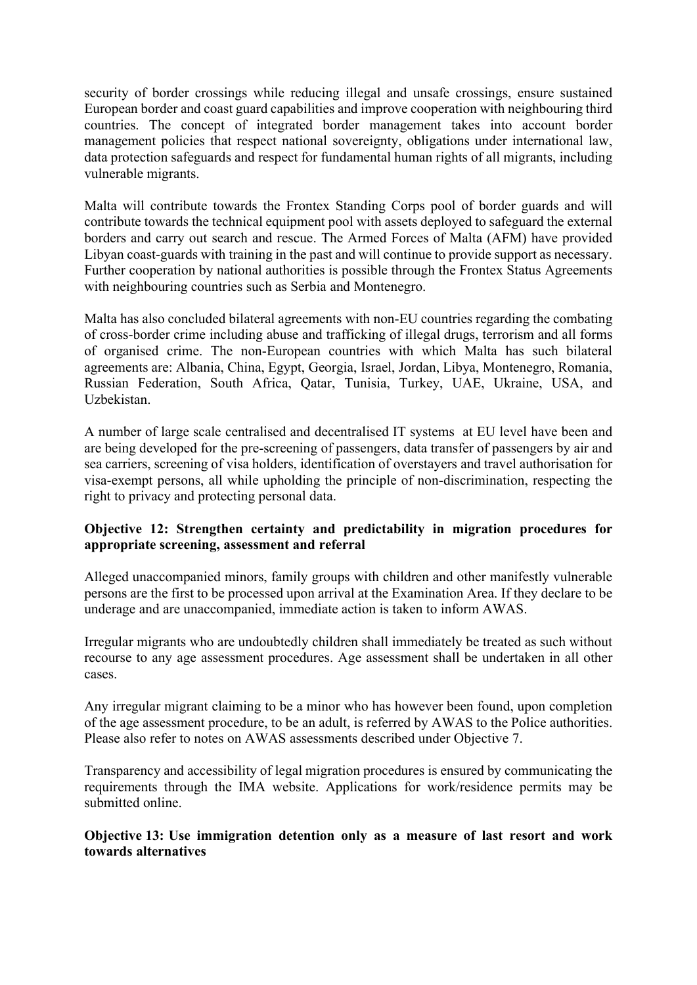security of border crossings while reducing illegal and unsafe crossings, ensure sustained European border and coast guard capabilities and improve cooperation with neighbouring third countries. The concept of integrated border management takes into account border management policies that respect national sovereignty, obligations under international law, data protection safeguards and respect for fundamental human rights of all migrants, including vulnerable migrants.

Malta will contribute towards the Frontex Standing Corps pool of border guards and will contribute towards the technical equipment pool with assets deployed to safeguard the external borders and carry out search and rescue. The Armed Forces of Malta (AFM) have provided Libyan coast-guards with training in the past and will continue to provide support as necessary. Further cooperation by national authorities is possible through the Frontex Status Agreements with neighbouring countries such as Serbia and Montenegro.

Malta has also concluded bilateral agreements with non-EU countries regarding the combating of cross-border crime including abuse and trafficking of illegal drugs, terrorism and all forms of organised crime. The non-European countries with which Malta has such bilateral agreements are: Albania, China, Egypt, Georgia, Israel, Jordan, Libya, Montenegro, Romania, Russian Federation, South Africa, Qatar, Tunisia, Turkey, UAE, Ukraine, USA, and Uzbekistan.

A number of large scale centralised and decentralised IT systems at EU level have been and are being developed for the pre-screening of passengers, data transfer of passengers by air and sea carriers, screening of visa holders, identification of overstayers and travel authorisation for visa-exempt persons, all while upholding the principle of non-discrimination, respecting the right to privacy and protecting personal data.

## Objective 12: Strengthen certainty and predictability in migration procedures for appropriate screening, assessment and referral

Alleged unaccompanied minors, family groups with children and other manifestly vulnerable persons are the first to be processed upon arrival at the Examination Area. If they declare to be underage and are unaccompanied, immediate action is taken to inform AWAS.

Irregular migrants who are undoubtedly children shall immediately be treated as such without recourse to any age assessment procedures. Age assessment shall be undertaken in all other cases.

Any irregular migrant claiming to be a minor who has however been found, upon completion of the age assessment procedure, to be an adult, is referred by AWAS to the Police authorities. Please also refer to notes on AWAS assessments described under Objective 7.

Transparency and accessibility of legal migration procedures is ensured by communicating the requirements through the IMA website. Applications for work/residence permits may be submitted online.

Objective 13: Use immigration detention only as a measure of last resort and work towards alternatives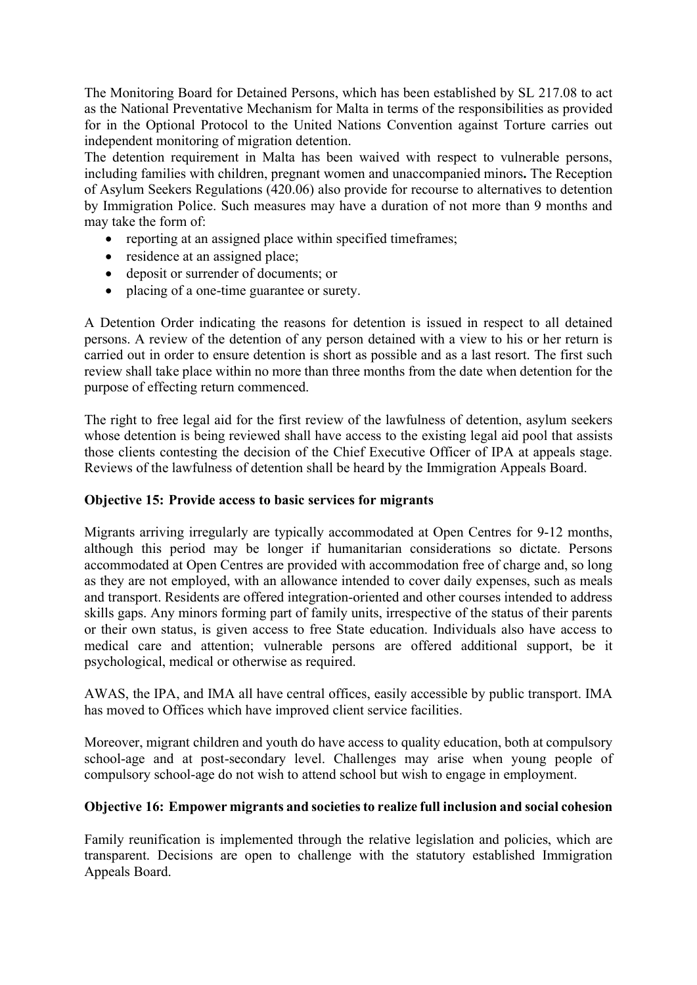The Monitoring Board for Detained Persons, which has been established by SL 217.08 to act as the National Preventative Mechanism for Malta in terms of the responsibilities as provided for in the Optional Protocol to the United Nations Convention against Torture carries out independent monitoring of migration detention.

The detention requirement in Malta has been waived with respect to vulnerable persons, including families with children, pregnant women and unaccompanied minors. The Reception of Asylum Seekers Regulations (420.06) also provide for recourse to alternatives to detention by Immigration Police. Such measures may have a duration of not more than 9 months and may take the form of:

- reporting at an assigned place within specified timeframes;
- residence at an assigned place;
- deposit or surrender of documents; or
- placing of a one-time guarantee or surety.

A Detention Order indicating the reasons for detention is issued in respect to all detained persons. A review of the detention of any person detained with a view to his or her return is carried out in order to ensure detention is short as possible and as a last resort. The first such review shall take place within no more than three months from the date when detention for the purpose of effecting return commenced.

The right to free legal aid for the first review of the lawfulness of detention, asylum seekers whose detention is being reviewed shall have access to the existing legal aid pool that assists those clients contesting the decision of the Chief Executive Officer of IPA at appeals stage. Reviews of the lawfulness of detention shall be heard by the Immigration Appeals Board.

#### Objective 15: Provide access to basic services for migrants

Migrants arriving irregularly are typically accommodated at Open Centres for 9-12 months, although this period may be longer if humanitarian considerations so dictate. Persons accommodated at Open Centres are provided with accommodation free of charge and, so long as they are not employed, with an allowance intended to cover daily expenses, such as meals and transport. Residents are offered integration-oriented and other courses intended to address skills gaps. Any minors forming part of family units, irrespective of the status of their parents or their own status, is given access to free State education. Individuals also have access to medical care and attention; vulnerable persons are offered additional support, be it psychological, medical or otherwise as required.

AWAS, the IPA, and IMA all have central offices, easily accessible by public transport. IMA has moved to Offices which have improved client service facilities.

Moreover, migrant children and youth do have access to quality education, both at compulsory school-age and at post-secondary level. Challenges may arise when young people of compulsory school-age do not wish to attend school but wish to engage in employment.

#### Objective 16: Empower migrants and societies to realize full inclusion and social cohesion

Family reunification is implemented through the relative legislation and policies, which are transparent. Decisions are open to challenge with the statutory established Immigration Appeals Board.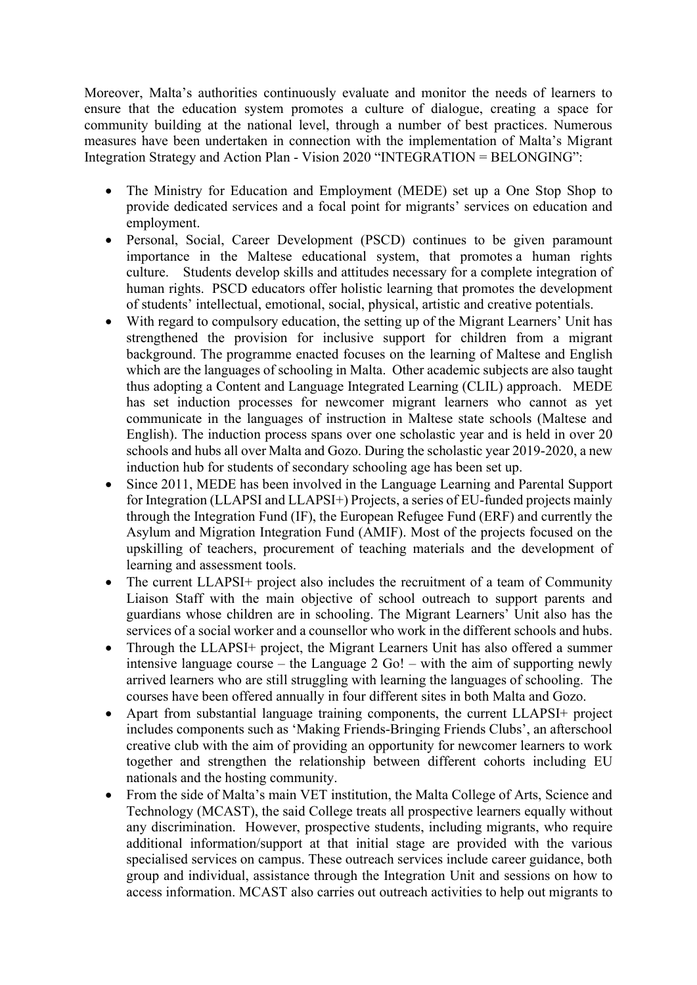Moreover, Malta's authorities continuously evaluate and monitor the needs of learners to ensure that the education system promotes a culture of dialogue, creating a space for community building at the national level, through a number of best practices. Numerous measures have been undertaken in connection with the implementation of Malta's Migrant Integration Strategy and Action Plan - Vision 2020 "INTEGRATION = BELONGING":

- The Ministry for Education and Employment (MEDE) set up a One Stop Shop to provide dedicated services and a focal point for migrants' services on education and employment.
- Personal, Social, Career Development (PSCD) continues to be given paramount importance in the Maltese educational system, that promotes a human rights culture. Students develop skills and attitudes necessary for a complete integration of human rights. PSCD educators offer holistic learning that promotes the development of students' intellectual, emotional, social, physical, artistic and creative potentials.
- With regard to compulsory education, the setting up of the Migrant Learners' Unit has strengthened the provision for inclusive support for children from a migrant background. The programme enacted focuses on the learning of Maltese and English which are the languages of schooling in Malta. Other academic subjects are also taught thus adopting a Content and Language Integrated Learning (CLIL) approach. MEDE has set induction processes for newcomer migrant learners who cannot as yet communicate in the languages of instruction in Maltese state schools (Maltese and English). The induction process spans over one scholastic year and is held in over 20 schools and hubs all over Malta and Gozo. During the scholastic year 2019-2020, a new induction hub for students of secondary schooling age has been set up.
- Since 2011, MEDE has been involved in the Language Learning and Parental Support for Integration (LLAPSI and LLAPSI+) Projects, a series of EU-funded projects mainly through the Integration Fund (IF), the European Refugee Fund (ERF) and currently the Asylum and Migration Integration Fund (AMIF). Most of the projects focused on the upskilling of teachers, procurement of teaching materials and the development of learning and assessment tools.
- The current LLAPSI+ project also includes the recruitment of a team of Community Liaison Staff with the main objective of school outreach to support parents and guardians whose children are in schooling. The Migrant Learners' Unit also has the services of a social worker and a counsellor who work in the different schools and hubs.
- Through the LLAPSI+ project, the Migrant Learners Unit has also offered a summer intensive language course – the Language 2 Go! – with the aim of supporting newly arrived learners who are still struggling with learning the languages of schooling. The courses have been offered annually in four different sites in both Malta and Gozo.
- Apart from substantial language training components, the current LLAPSI+ project includes components such as 'Making Friends-Bringing Friends Clubs', an afterschool creative club with the aim of providing an opportunity for newcomer learners to work together and strengthen the relationship between different cohorts including EU nationals and the hosting community.
- From the side of Malta's main VET institution, the Malta College of Arts, Science and Technology (MCAST), the said College treats all prospective learners equally without any discrimination. However, prospective students, including migrants, who require additional information/support at that initial stage are provided with the various specialised services on campus. These outreach services include career guidance, both group and individual, assistance through the Integration Unit and sessions on how to access information. MCAST also carries out outreach activities to help out migrants to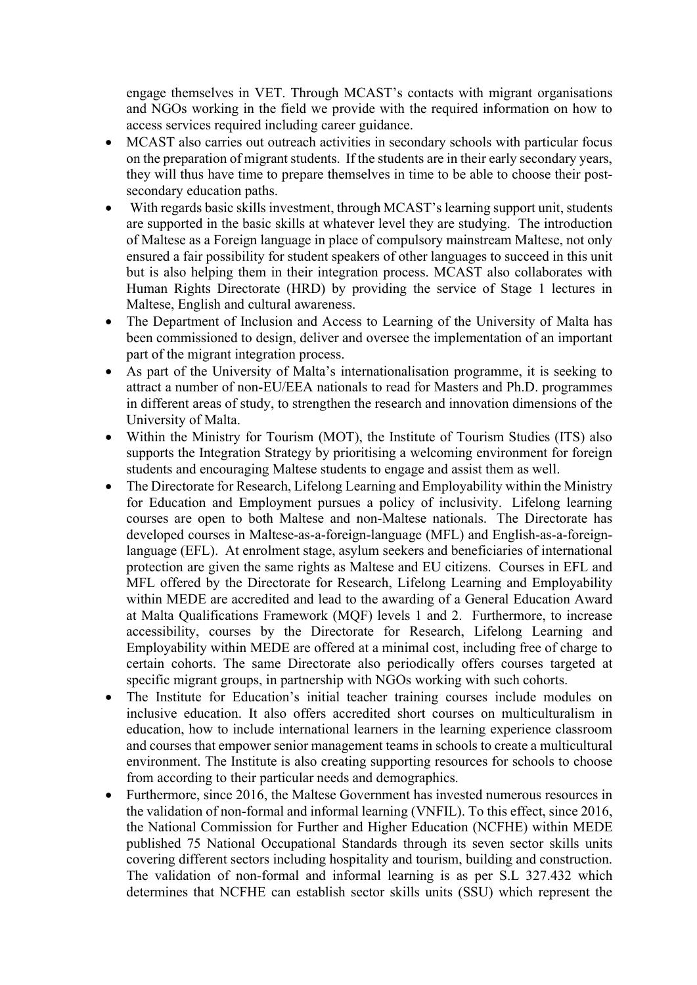engage themselves in VET. Through MCAST's contacts with migrant organisations and NGOs working in the field we provide with the required information on how to access services required including career guidance.

- MCAST also carries out outreach activities in secondary schools with particular focus on the preparation of migrant students. If the students are in their early secondary years, they will thus have time to prepare themselves in time to be able to choose their postsecondary education paths.
- With regards basic skills investment, through MCAST's learning support unit, students are supported in the basic skills at whatever level they are studying. The introduction of Maltese as a Foreign language in place of compulsory mainstream Maltese, not only ensured a fair possibility for student speakers of other languages to succeed in this unit but is also helping them in their integration process. MCAST also collaborates with Human Rights Directorate (HRD) by providing the service of Stage 1 lectures in Maltese, English and cultural awareness.
- The Department of Inclusion and Access to Learning of the University of Malta has been commissioned to design, deliver and oversee the implementation of an important part of the migrant integration process.
- As part of the University of Malta's internationalisation programme, it is seeking to attract a number of non-EU/EEA nationals to read for Masters and Ph.D. programmes in different areas of study, to strengthen the research and innovation dimensions of the University of Malta.
- Within the Ministry for Tourism (MOT), the Institute of Tourism Studies (ITS) also supports the Integration Strategy by prioritising a welcoming environment for foreign students and encouraging Maltese students to engage and assist them as well.
- The Directorate for Research, Lifelong Learning and Employability within the Ministry for Education and Employment pursues a policy of inclusivity. Lifelong learning courses are open to both Maltese and non-Maltese nationals. The Directorate has developed courses in Maltese-as-a-foreign-language (MFL) and English-as-a-foreignlanguage (EFL). At enrolment stage, asylum seekers and beneficiaries of international protection are given the same rights as Maltese and EU citizens. Courses in EFL and MFL offered by the Directorate for Research, Lifelong Learning and Employability within MEDE are accredited and lead to the awarding of a General Education Award at Malta Qualifications Framework (MQF) levels 1 and 2. Furthermore, to increase accessibility, courses by the Directorate for Research, Lifelong Learning and Employability within MEDE are offered at a minimal cost, including free of charge to certain cohorts. The same Directorate also periodically offers courses targeted at specific migrant groups, in partnership with NGOs working with such cohorts.
- The Institute for Education's initial teacher training courses include modules on inclusive education. It also offers accredited short courses on multiculturalism in education, how to include international learners in the learning experience classroom and courses that empower senior management teams in schools to create a multicultural environment. The Institute is also creating supporting resources for schools to choose from according to their particular needs and demographics.
- Furthermore, since 2016, the Maltese Government has invested numerous resources in the validation of non-formal and informal learning (VNFIL). To this effect, since 2016, the National Commission for Further and Higher Education (NCFHE) within MEDE published 75 National Occupational Standards through its seven sector skills units covering different sectors including hospitality and tourism, building and construction. The validation of non-formal and informal learning is as per S.L 327.432 which determines that NCFHE can establish sector skills units (SSU) which represent the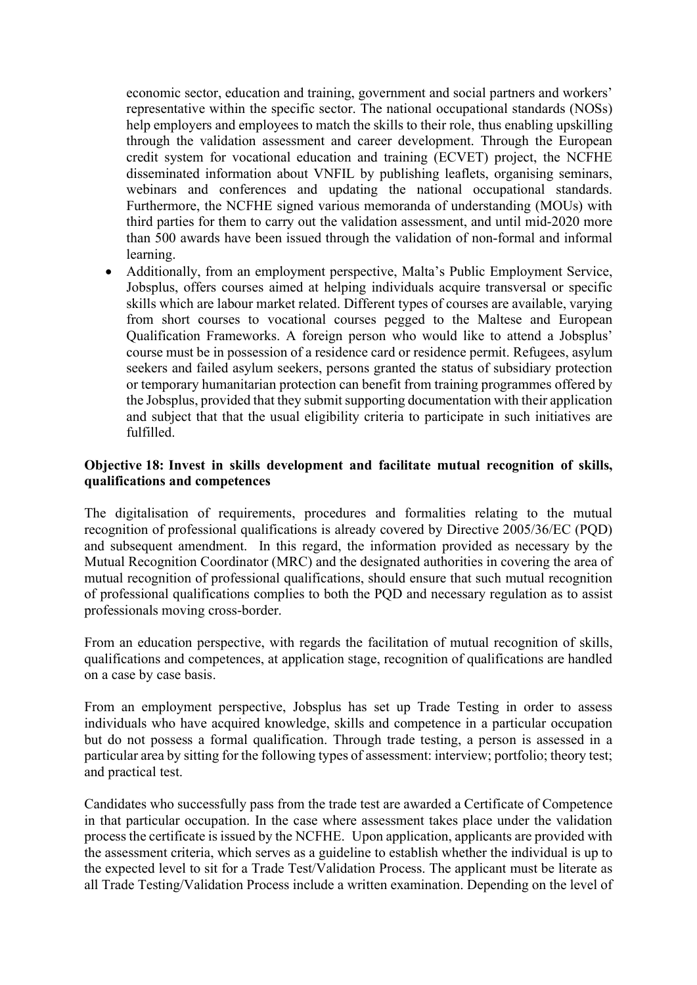economic sector, education and training, government and social partners and workers' representative within the specific sector. The national occupational standards (NOSs) help employers and employees to match the skills to their role, thus enabling upskilling through the validation assessment and career development. Through the European credit system for vocational education and training (ECVET) project, the NCFHE disseminated information about VNFIL by publishing leaflets, organising seminars, webinars and conferences and updating the national occupational standards. Furthermore, the NCFHE signed various memoranda of understanding (MOUs) with third parties for them to carry out the validation assessment, and until mid-2020 more than 500 awards have been issued through the validation of non-formal and informal learning.

 Additionally, from an employment perspective, Malta's Public Employment Service, Jobsplus, offers courses aimed at helping individuals acquire transversal or specific skills which are labour market related. Different types of courses are available, varying from short courses to vocational courses pegged to the Maltese and European Qualification Frameworks. A foreign person who would like to attend a Jobsplus' course must be in possession of a residence card or residence permit. Refugees, asylum seekers and failed asylum seekers, persons granted the status of subsidiary protection or temporary humanitarian protection can benefit from training programmes offered by the Jobsplus, provided that they submit supporting documentation with their application and subject that that the usual eligibility criteria to participate in such initiatives are fulfilled.

## Objective 18: Invest in skills development and facilitate mutual recognition of skills, qualifications and competences

The digitalisation of requirements, procedures and formalities relating to the mutual recognition of professional qualifications is already covered by Directive 2005/36/EC (PQD) and subsequent amendment. In this regard, the information provided as necessary by the Mutual Recognition Coordinator (MRC) and the designated authorities in covering the area of mutual recognition of professional qualifications, should ensure that such mutual recognition of professional qualifications complies to both the PQD and necessary regulation as to assist professionals moving cross-border.

From an education perspective, with regards the facilitation of mutual recognition of skills, qualifications and competences, at application stage, recognition of qualifications are handled on a case by case basis.

From an employment perspective, Jobsplus has set up Trade Testing in order to assess individuals who have acquired knowledge, skills and competence in a particular occupation but do not possess a formal qualification. Through trade testing, a person is assessed in a particular area by sitting for the following types of assessment: interview; portfolio; theory test; and practical test.

Candidates who successfully pass from the trade test are awarded a Certificate of Competence in that particular occupation. In the case where assessment takes place under the validation process the certificate is issued by the NCFHE. Upon application, applicants are provided with the assessment criteria, which serves as a guideline to establish whether the individual is up to the expected level to sit for a Trade Test/Validation Process. The applicant must be literate as all Trade Testing/Validation Process include a written examination. Depending on the level of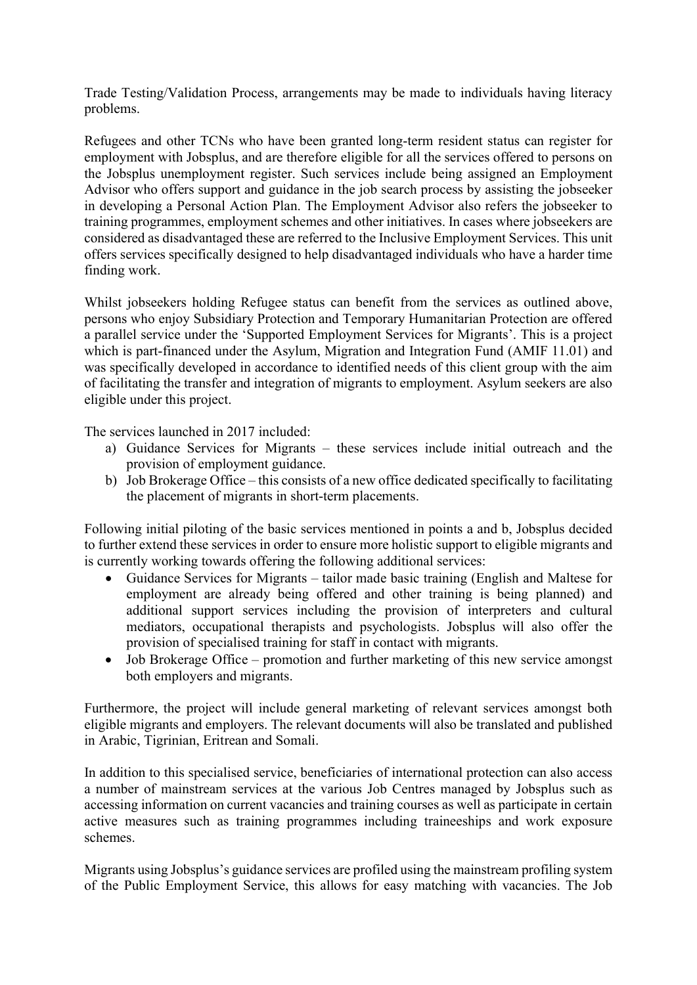Trade Testing/Validation Process, arrangements may be made to individuals having literacy problems.

Refugees and other TCNs who have been granted long-term resident status can register for employment with Jobsplus, and are therefore eligible for all the services offered to persons on the Jobsplus unemployment register. Such services include being assigned an Employment Advisor who offers support and guidance in the job search process by assisting the jobseeker in developing a Personal Action Plan. The Employment Advisor also refers the jobseeker to training programmes, employment schemes and other initiatives. In cases where jobseekers are considered as disadvantaged these are referred to the Inclusive Employment Services. This unit offers services specifically designed to help disadvantaged individuals who have a harder time finding work.

Whilst jobseekers holding Refugee status can benefit from the services as outlined above, persons who enjoy Subsidiary Protection and Temporary Humanitarian Protection are offered a parallel service under the 'Supported Employment Services for Migrants'. This is a project which is part-financed under the Asylum, Migration and Integration Fund (AMIF 11.01) and was specifically developed in accordance to identified needs of this client group with the aim of facilitating the transfer and integration of migrants to employment. Asylum seekers are also eligible under this project.

The services launched in 2017 included:

- a) Guidance Services for Migrants these services include initial outreach and the provision of employment guidance.
- b) Job Brokerage Office this consists of a new office dedicated specifically to facilitating the placement of migrants in short-term placements.

Following initial piloting of the basic services mentioned in points a and b, Jobsplus decided to further extend these services in order to ensure more holistic support to eligible migrants and is currently working towards offering the following additional services:

- Guidance Services for Migrants tailor made basic training (English and Maltese for employment are already being offered and other training is being planned) and additional support services including the provision of interpreters and cultural mediators, occupational therapists and psychologists. Jobsplus will also offer the provision of specialised training for staff in contact with migrants.
- Job Brokerage Office promotion and further marketing of this new service amongst both employers and migrants.

Furthermore, the project will include general marketing of relevant services amongst both eligible migrants and employers. The relevant documents will also be translated and published in Arabic, Tigrinian, Eritrean and Somali.

In addition to this specialised service, beneficiaries of international protection can also access a number of mainstream services at the various Job Centres managed by Jobsplus such as accessing information on current vacancies and training courses as well as participate in certain active measures such as training programmes including traineeships and work exposure schemes.

Migrants using Jobsplus's guidance services are profiled using the mainstream profiling system of the Public Employment Service, this allows for easy matching with vacancies. The Job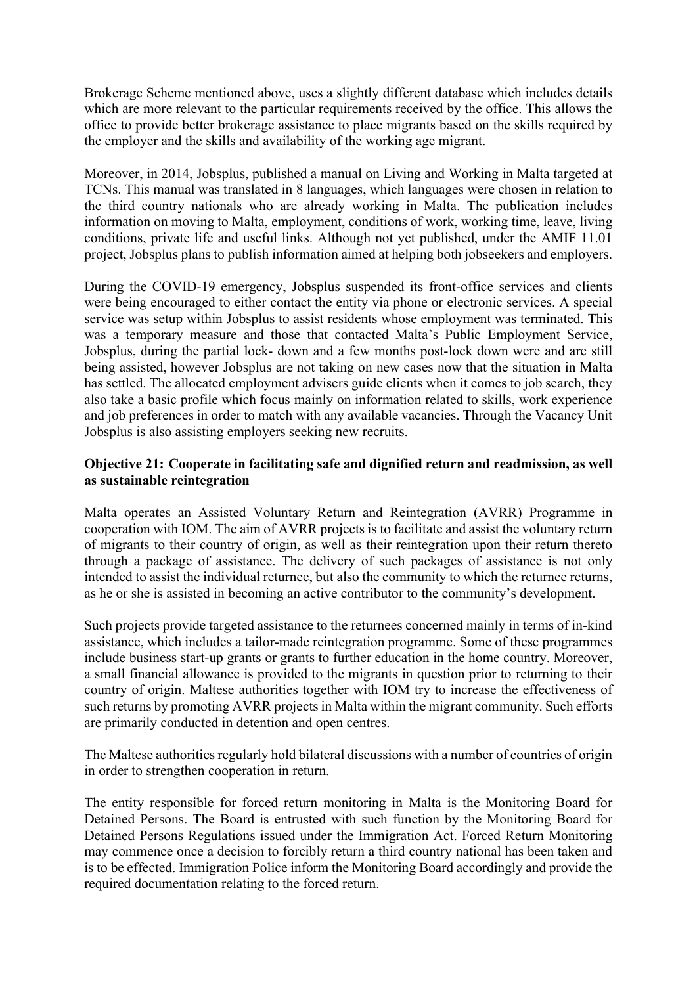Brokerage Scheme mentioned above, uses a slightly different database which includes details which are more relevant to the particular requirements received by the office. This allows the office to provide better brokerage assistance to place migrants based on the skills required by the employer and the skills and availability of the working age migrant.

Moreover, in 2014, Jobsplus, published a manual on Living and Working in Malta targeted at TCNs. This manual was translated in 8 languages, which languages were chosen in relation to the third country nationals who are already working in Malta. The publication includes information on moving to Malta, employment, conditions of work, working time, leave, living conditions, private life and useful links. Although not yet published, under the AMIF 11.01 project, Jobsplus plans to publish information aimed at helping both jobseekers and employers.

During the COVID-19 emergency, Jobsplus suspended its front-office services and clients were being encouraged to either contact the entity via phone or electronic services. A special service was setup within Jobsplus to assist residents whose employment was terminated. This was a temporary measure and those that contacted Malta's Public Employment Service, Jobsplus, during the partial lock- down and a few months post-lock down were and are still being assisted, however Jobsplus are not taking on new cases now that the situation in Malta has settled. The allocated employment advisers guide clients when it comes to job search, they also take a basic profile which focus mainly on information related to skills, work experience and job preferences in order to match with any available vacancies. Through the Vacancy Unit Jobsplus is also assisting employers seeking new recruits.

## Objective 21: Cooperate in facilitating safe and dignified return and readmission, as well as sustainable reintegration

Malta operates an Assisted Voluntary Return and Reintegration (AVRR) Programme in cooperation with IOM. The aim of AVRR projects is to facilitate and assist the voluntary return of migrants to their country of origin, as well as their reintegration upon their return thereto through a package of assistance. The delivery of such packages of assistance is not only intended to assist the individual returnee, but also the community to which the returnee returns, as he or she is assisted in becoming an active contributor to the community's development.

Such projects provide targeted assistance to the returnees concerned mainly in terms of in-kind assistance, which includes a tailor-made reintegration programme. Some of these programmes include business start-up grants or grants to further education in the home country. Moreover, a small financial allowance is provided to the migrants in question prior to returning to their country of origin. Maltese authorities together with IOM try to increase the effectiveness of such returns by promoting AVRR projects in Malta within the migrant community. Such efforts are primarily conducted in detention and open centres.

The Maltese authorities regularly hold bilateral discussions with a number of countries of origin in order to strengthen cooperation in return.

The entity responsible for forced return monitoring in Malta is the Monitoring Board for Detained Persons. The Board is entrusted with such function by the Monitoring Board for Detained Persons Regulations issued under the Immigration Act. Forced Return Monitoring may commence once a decision to forcibly return a third country national has been taken and is to be effected. Immigration Police inform the Monitoring Board accordingly and provide the required documentation relating to the forced return.